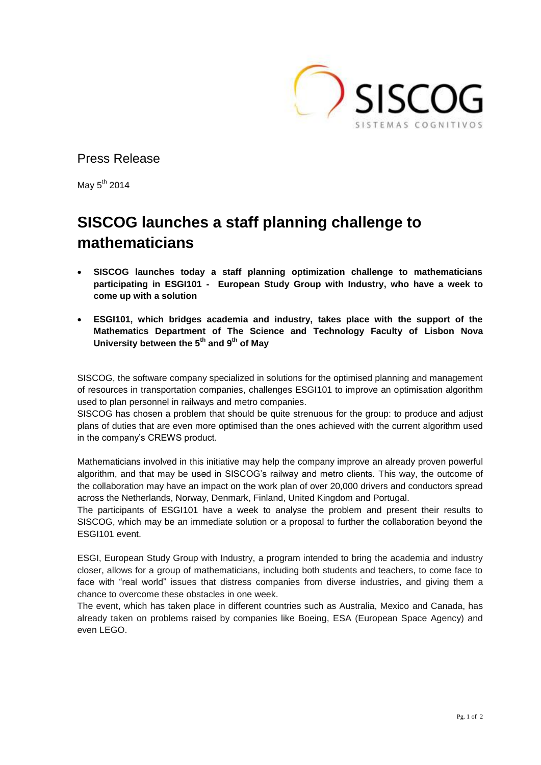

Press Release

May  $5<sup>th</sup>$  2014

## **SISCOG launches a staff planning challenge to mathematicians**

- **SISCOG launches today a staff planning optimization challenge to mathematicians participating in ESGI101 - European Study Group with Industry, who have a week to come up with a solution**
- **ESGI101, which bridges academia and industry, takes place with the support of the Mathematics Department of The Science and Technology Faculty of Lisbon Nova University between the 5th and 9th of May**

SISCOG, the software company specialized in solutions for the optimised planning and management of resources in transportation companies, challenges ESGI101 to improve an optimisation algorithm used to plan personnel in railways and metro companies.

SISCOG has chosen a problem that should be quite strenuous for the group: to produce and adjust plans of duties that are even more optimised than the ones achieved with the current algorithm used in the company's CREWS product.

Mathematicians involved in this initiative may help the company improve an already proven powerful algorithm, and that may be used in SISCOG's railway and metro clients. This way, the outcome of the collaboration may have an impact on the work plan of over 20,000 drivers and conductors spread across the Netherlands, Norway, Denmark, Finland, United Kingdom and Portugal.

The participants of ESGI101 have a week to analyse the problem and present their results to SISCOG, which may be an immediate solution or a proposal to further the collaboration beyond the ESGI101 event.

ESGI, European Study Group with Industry, a program intended to bring the academia and industry closer, allows for a group of mathematicians, including both students and teachers, to come face to face with "real world" issues that distress companies from diverse industries, and giving them a chance to overcome these obstacles in one week.

The event, which has taken place in different countries such as Australia, Mexico and Canada, has already taken on problems raised by companies like Boeing, ESA (European Space Agency) and even LEGO.